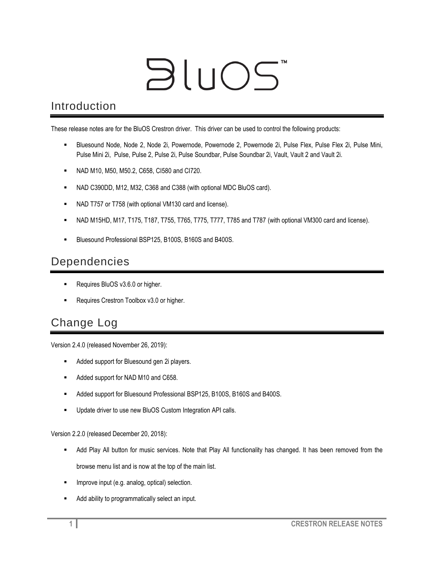# **BluOS**

## Introduction

These release notes are for the BluOS Crestron driver. This driver can be used to control the following products:

- Bluesound Node*,* Node 2, Node 2i, Powernode, Powernode 2, Powernode 2i, Pulse Flex, Pulse Flex 2i, Pulse Mini, Pulse Mini 2i, Pulse, Pulse 2, Pulse 2i, Pulse Soundbar, Pulse Soundbar 2i, Vault, Vault 2 and Vault 2i.
- **NAD M10, M50, M50.2, C658, CI580 and CI720.**
- NAD C390DD, M12, M32, C368 and C388 (with optional MDC BluOS card).
- NAD T757 or T758 (with optional VM130 card and license).
- NAD M15HD, M17, T175, T187, T755, T765, T775, T777, T785 and T787 (with optional VM300 card and license).
- Bluesound Professional BSP125, B100S, B160S and B400S.

#### Dependencies

- Requires BluOS v3.6.0 or higher.
- Requires Crestron Toolbox v3.0 or higher.

### Change Log

Version 2.4.0 (released November 26, 2019):

- Added support for Bluesound gen 2i players.
- Added support for NAD M10 and C658.
- Added support for Bluesound Professional BSP125, B100S, B160S and B400S.
- **Update driver to use new BluOS Custom Integration API calls.**

#### Version 2.2.0 (released December 20, 2018):

- Add Play All button for music services. Note that Play All functionality has changed. It has been removed from the browse menu list and is now at the top of the main list.
- **IMPROVE input (e.g. analog, optical) selection.**
- **Add ability to programmatically select an input.**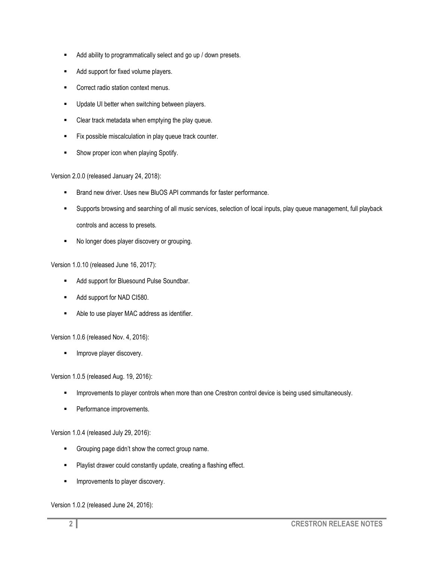- Add ability to programmatically select and go up / down presets.
- Add support for fixed volume players.
- Correct radio station context menus.
- **Update UI better when switching between players.**
- **EXECLE** Clear track metadata when emptying the play queue.
- **Fix possible miscalculation in play queue track counter.**
- **Show proper icon when playing Spotify.**

Version 2.0.0 (released January 24, 2018):

- **Brand new driver. Uses new BluOS API commands for faster performance.**
- Supports browsing and searching of all music services, selection of local inputs, play queue management, full playback controls and access to presets.
- **No longer does player discovery or grouping.**

Version 1.0.10 (released June 16, 2017):

- Add support for Bluesound Pulse Soundbar.
- Add support for NAD CI580.
- Able to use player MAC address as identifier.

Version 1.0.6 (released Nov. 4, 2016):

**Improve player discovery.** 

Version 1.0.5 (released Aug. 19, 2016):

- Improvements to player controls when more than one Crestron control device is being used simultaneously.
- **Performance improvements.**

Version 1.0.4 (released July 29, 2016):

- Grouping page didn't show the correct group name.
- **Playlist drawer could constantly update, creating a flashing effect.**
- **IMPROVEMENTS TO player discovery.**

Version 1.0.2 (released June 24, 2016):